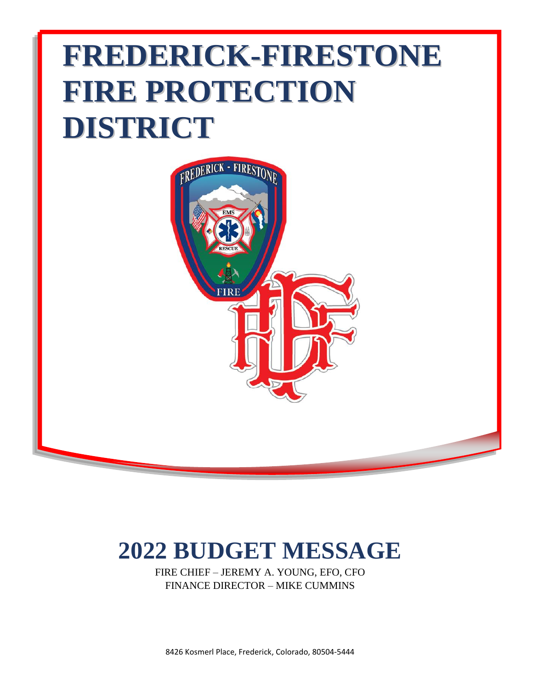# **FREDERICK-FIRESTONE FIRE PROTECTION DISTRICT**



# **2022 BUDGET MESSAGE**

FIRE CHIEF – JEREMY A. YOUNG, EFO, CFO FINANCE DIRECTOR – MIKE CUMMINS

8426 Kosmerl Place, Frederick, Colorado, 80504-5444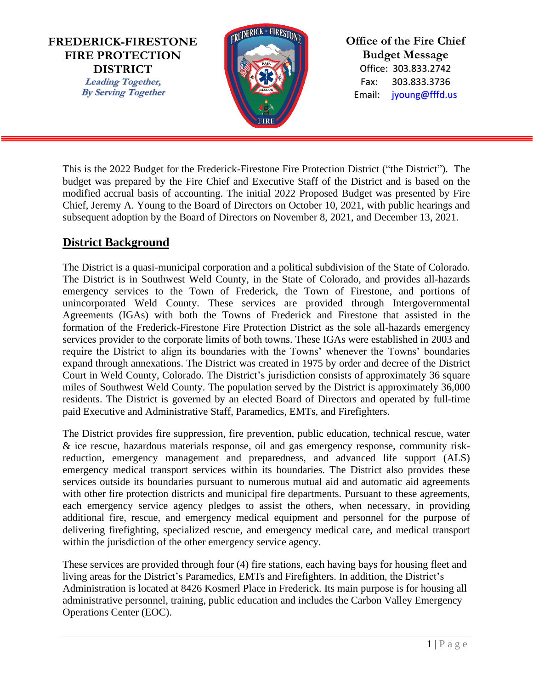**FREDERICK-FIRESTONE FIRE PROTECTION DISTRICT Leading Together, By Serving Together**



**Office of the Fire Chief Budget Message** Office: 303.833.2742 Fax: 303.833.3736 Email: jyoung@fffd.us

This is the 2022 Budget for the Frederick-Firestone Fire Protection District ("the District"). The budget was prepared by the Fire Chief and Executive Staff of the District and is based on the modified accrual basis of accounting. The initial 2022 Proposed Budget was presented by Fire Chief, Jeremy A. Young to the Board of Directors on October 10, 2021, with public hearings and subsequent adoption by the Board of Directors on November 8, 2021, and December 13, 2021.

# **District Background**

The District is a quasi-municipal corporation and a political subdivision of the State of Colorado. The District is in Southwest Weld County, in the State of Colorado, and provides all-hazards emergency services to the Town of Frederick, the Town of Firestone, and portions of unincorporated Weld County. These services are provided through Intergovernmental Agreements (IGAs) with both the Towns of Frederick and Firestone that assisted in the formation of the Frederick-Firestone Fire Protection District as the sole all-hazards emergency services provider to the corporate limits of both towns. These IGAs were established in 2003 and require the District to align its boundaries with the Towns' whenever the Towns' boundaries expand through annexations. The District was created in 1975 by order and decree of the District Court in Weld County, Colorado. The District's jurisdiction consists of approximately 36 square miles of Southwest Weld County. The population served by the District is approximately 36,000 residents. The District is governed by an elected Board of Directors and operated by full-time paid Executive and Administrative Staff, Paramedics, EMTs, and Firefighters.

The District provides fire suppression, fire prevention, public education, technical rescue, water & ice rescue, hazardous materials response, oil and gas emergency response, community riskreduction, emergency management and preparedness, and advanced life support (ALS) emergency medical transport services within its boundaries. The District also provides these services outside its boundaries pursuant to numerous mutual aid and automatic aid agreements with other fire protection districts and municipal fire departments. Pursuant to these agreements, each emergency service agency pledges to assist the others, when necessary, in providing additional fire, rescue, and emergency medical equipment and personnel for the purpose of delivering firefighting, specialized rescue, and emergency medical care, and medical transport within the jurisdiction of the other emergency service agency.

These services are provided through four (4) fire stations, each having bays for housing fleet and living areas for the District's Paramedics, EMTs and Firefighters. In addition, the District's Administration is located at 8426 Kosmerl Place in Frederick. Its main purpose is for housing all administrative personnel, training, public education and includes the Carbon Valley Emergency Operations Center (EOC).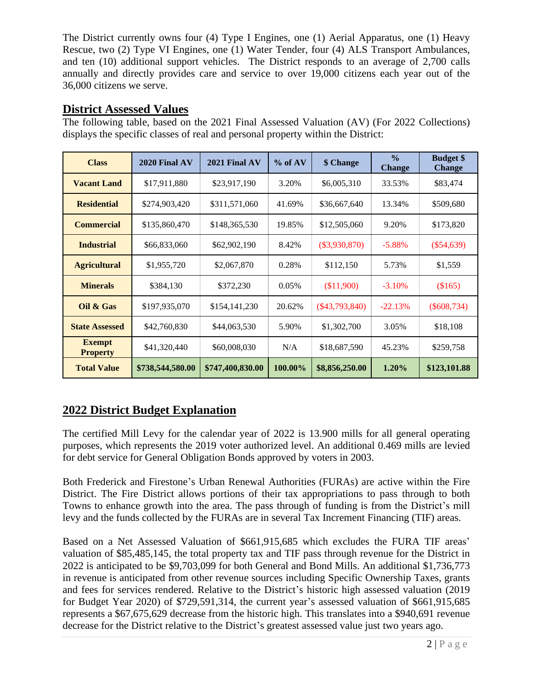The District currently owns four (4) Type I Engines, one (1) Aerial Apparatus, one (1) Heavy Rescue, two (2) Type VI Engines, one (1) Water Tender, four (4) ALS Transport Ambulances, and ten (10) additional support vehicles. The District responds to an average of 2,700 calls annually and directly provides care and service to over 19,000 citizens each year out of the 36,000 citizens we serve.

# **District Assessed Values**

The following table, based on the 2021 Final Assessed Valuation (AV) (For 2022 Collections) displays the specific classes of real and personal property within the District:

| <b>Class</b>                     | $2020$ Final AV  | 2021 Final AV    | $%$ of AV | \$ Change        | $\frac{0}{0}$<br><b>Change</b> | <b>Budget</b> \$<br><b>Change</b> |
|----------------------------------|------------------|------------------|-----------|------------------|--------------------------------|-----------------------------------|
| <b>Vacant Land</b>               | \$17,911,880     | \$23,917,190     | 3.20%     | \$6,005,310      | 33.53%                         | \$83,474                          |
| <b>Residential</b>               | \$274,903,420    | \$311,571,060    | 41.69%    | \$36,667,640     | 13.34%                         | \$509,680                         |
| <b>Commercial</b>                | \$135,860,470    | \$148,365,530    | 19.85%    | \$12,505,060     | 9.20%                          | \$173,820                         |
| <b>Industrial</b>                | \$66,833,060     | \$62,902,190     | 8.42%     | $(\$3,930,870)$  | $-5.88\%$                      | $(\$54,639)$                      |
| <b>Agricultural</b>              | \$1,955,720      | \$2,067,870      | 0.28%     | \$112,150        | 5.73%                          | \$1,559                           |
| <b>Minerals</b>                  | \$384,130        | \$372,230        | 0.05%     | (\$11,900)       | $-3.10%$                       | (\$165)                           |
| Oil & Gas                        | \$197,935,070    | \$154,141,230    | 20.62%    | $(\$43,793,840)$ | $-22.13%$                      | $(\$608,734)$                     |
| <b>State Assessed</b>            | \$42,760,830     | \$44,063,530     | 5.90%     | \$1,302,700      | 3.05%                          | \$18,108                          |
| <b>Exempt</b><br><b>Property</b> | \$41,320,440     | \$60,008,030     | N/A       | \$18,687,590     | 45.23%                         | \$259,758                         |
| <b>Total Value</b>               | \$738,544,580.00 | \$747,400,830.00 | 100.00%   | \$8,856,250.00   | 1.20%                          | \$123,101.88                      |

# **2022 District Budget Explanation**

The certified Mill Levy for the calendar year of 2022 is 13.900 mills for all general operating purposes, which represents the 2019 voter authorized level. An additional 0.469 mills are levied for debt service for General Obligation Bonds approved by voters in 2003.

Both Frederick and Firestone's Urban Renewal Authorities (FURAs) are active within the Fire District. The Fire District allows portions of their tax appropriations to pass through to both Towns to enhance growth into the area. The pass through of funding is from the District's mill levy and the funds collected by the FURAs are in several Tax Increment Financing (TIF) areas.

Based on a Net Assessed Valuation of \$661,915,685 which excludes the FURA TIF areas' valuation of \$85,485,145, the total property tax and TIF pass through revenue for the District in 2022 is anticipated to be \$9,703,099 for both General and Bond Mills. An additional \$1,736,773 in revenue is anticipated from other revenue sources including Specific Ownership Taxes, grants and fees for services rendered. Relative to the District's historic high assessed valuation (2019 for Budget Year 2020) of \$729,591,314, the current year's assessed valuation of \$661,915,685 represents a \$67,675,629 decrease from the historic high. This translates into a \$940,691 revenue decrease for the District relative to the District's greatest assessed value just two years ago.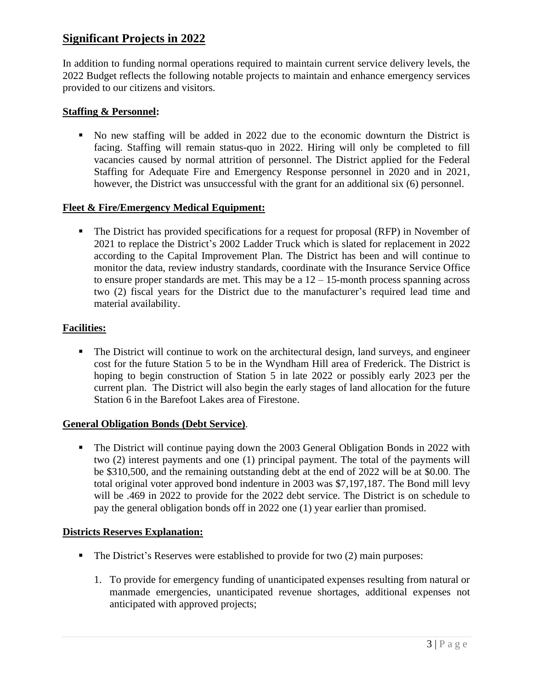# **Significant Projects in 2022**

In addition to funding normal operations required to maintain current service delivery levels, the 2022 Budget reflects the following notable projects to maintain and enhance emergency services provided to our citizens and visitors.

# **Staffing & Personnel:**

▪ No new staffing will be added in 2022 due to the economic downturn the District is facing. Staffing will remain status-quo in 2022. Hiring will only be completed to fill vacancies caused by normal attrition of personnel. The District applied for the Federal Staffing for Adequate Fire and Emergency Response personnel in 2020 and in 2021, however, the District was unsuccessful with the grant for an additional six (6) personnel.

## **Fleet & Fire/Emergency Medical Equipment:**

▪ The District has provided specifications for a request for proposal (RFP) in November of 2021 to replace the District's 2002 Ladder Truck which is slated for replacement in 2022 according to the Capital Improvement Plan. The District has been and will continue to monitor the data, review industry standards, coordinate with the Insurance Service Office to ensure proper standards are met. This may be a  $12 - 15$ -month process spanning across two (2) fiscal years for the District due to the manufacturer's required lead time and material availability.

# **Facilities:**

**•** The District will continue to work on the architectural design, land surveys, and engineer cost for the future Station 5 to be in the Wyndham Hill area of Frederick. The District is hoping to begin construction of Station 5 in late 2022 or possibly early 2023 per the current plan. The District will also begin the early stages of land allocation for the future Station 6 in the Barefoot Lakes area of Firestone.

## **General Obligation Bonds (Debt Service)**.

**•** The District will continue paying down the 2003 General Obligation Bonds in 2022 with two (2) interest payments and one (1) principal payment. The total of the payments will be \$310,500, and the remaining outstanding debt at the end of 2022 will be at \$0.00. The total original voter approved bond indenture in 2003 was \$7,197,187. The Bond mill levy will be .469 in 2022 to provide for the 2022 debt service. The District is on schedule to pay the general obligation bonds off in 2022 one (1) year earlier than promised.

## **Districts Reserves Explanation:**

- The District's Reserves were established to provide for two (2) main purposes:
	- 1. To provide for emergency funding of unanticipated expenses resulting from natural or manmade emergencies, unanticipated revenue shortages, additional expenses not anticipated with approved projects;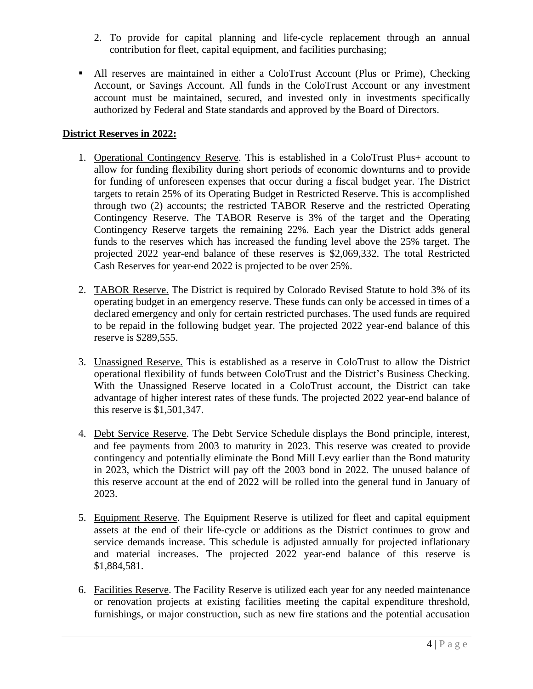- 2. To provide for capital planning and life-cycle replacement through an annual contribution for fleet, capital equipment, and facilities purchasing;
- All reserves are maintained in either a ColoTrust Account (Plus or Prime), Checking Account, or Savings Account. All funds in the ColoTrust Account or any investment account must be maintained, secured, and invested only in investments specifically authorized by Federal and State standards and approved by the Board of Directors.

# **District Reserves in 2022:**

- 1. Operational Contingency Reserve. This is established in a ColoTrust Plus+ account to allow for funding flexibility during short periods of economic downturns and to provide for funding of unforeseen expenses that occur during a fiscal budget year. The District targets to retain 25% of its Operating Budget in Restricted Reserve. This is accomplished through two (2) accounts; the restricted TABOR Reserve and the restricted Operating Contingency Reserve. The TABOR Reserve is 3% of the target and the Operating Contingency Reserve targets the remaining 22%. Each year the District adds general funds to the reserves which has increased the funding level above the 25% target. The projected 2022 year-end balance of these reserves is \$2,069,332. The total Restricted Cash Reserves for year-end 2022 is projected to be over 25%.
- 2. TABOR Reserve. The District is required by Colorado Revised Statute to hold 3% of its operating budget in an emergency reserve. These funds can only be accessed in times of a declared emergency and only for certain restricted purchases. The used funds are required to be repaid in the following budget year. The projected 2022 year-end balance of this reserve is \$289,555.
- 3. Unassigned Reserve. This is established as a reserve in ColoTrust to allow the District operational flexibility of funds between ColoTrust and the District's Business Checking. With the Unassigned Reserve located in a ColoTrust account, the District can take advantage of higher interest rates of these funds. The projected 2022 year-end balance of this reserve is \$1,501,347.
- 4. Debt Service Reserve. The Debt Service Schedule displays the Bond principle, interest, and fee payments from 2003 to maturity in 2023. This reserve was created to provide contingency and potentially eliminate the Bond Mill Levy earlier than the Bond maturity in 2023, which the District will pay off the 2003 bond in 2022. The unused balance of this reserve account at the end of 2022 will be rolled into the general fund in January of 2023.
- 5. Equipment Reserve. The Equipment Reserve is utilized for fleet and capital equipment assets at the end of their life-cycle or additions as the District continues to grow and service demands increase. This schedule is adjusted annually for projected inflationary and material increases. The projected 2022 year-end balance of this reserve is \$1,884,581.
- 6. Facilities Reserve. The Facility Reserve is utilized each year for any needed maintenance or renovation projects at existing facilities meeting the capital expenditure threshold, furnishings, or major construction, such as new fire stations and the potential accusation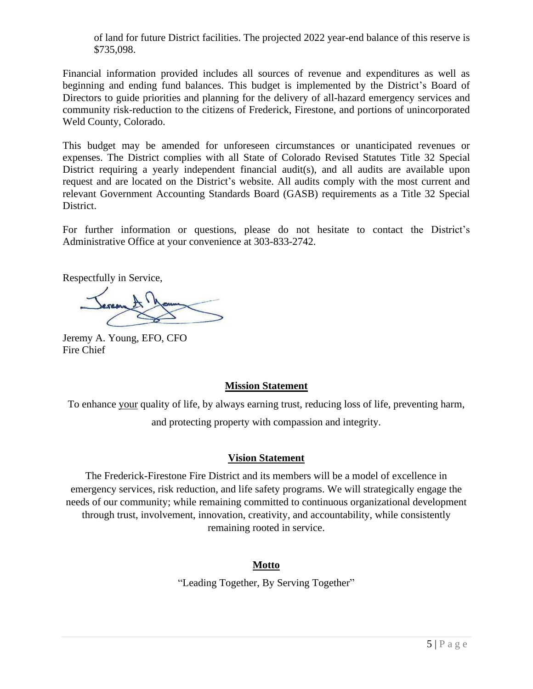of land for future District facilities. The projected 2022 year-end balance of this reserve is \$735,098.

Financial information provided includes all sources of revenue and expenditures as well as beginning and ending fund balances. This budget is implemented by the District's Board of Directors to guide priorities and planning for the delivery of all-hazard emergency services and community risk-reduction to the citizens of Frederick, Firestone, and portions of unincorporated Weld County, Colorado.

This budget may be amended for unforeseen circumstances or unanticipated revenues or expenses. The District complies with all State of Colorado Revised Statutes Title 32 Special District requiring a yearly independent financial audit(s), and all audits are available upon request and are located on the District's website. All audits comply with the most current and relevant Government Accounting Standards Board (GASB) requirements as a Title 32 Special District.

For further information or questions, please do not hesitate to contact the District's Administrative Office at your convenience at 303-833-2742.

Respectfully in Service,

Jeremy A. Young, EFO, CFO Fire Chief

## **Mission Statement**

To enhance your quality of life, by always earning trust, reducing loss of life, preventing harm, and protecting property with compassion and integrity.

## **Vision Statement**

The Frederick-Firestone Fire District and its members will be a model of excellence in emergency services, risk reduction, and life safety programs. We will strategically engage the needs of our community; while remaining committed to continuous organizational development through trust, involvement, innovation, creativity, and accountability, while consistently remaining rooted in service.

## **Motto**

"Leading Together, By Serving Together"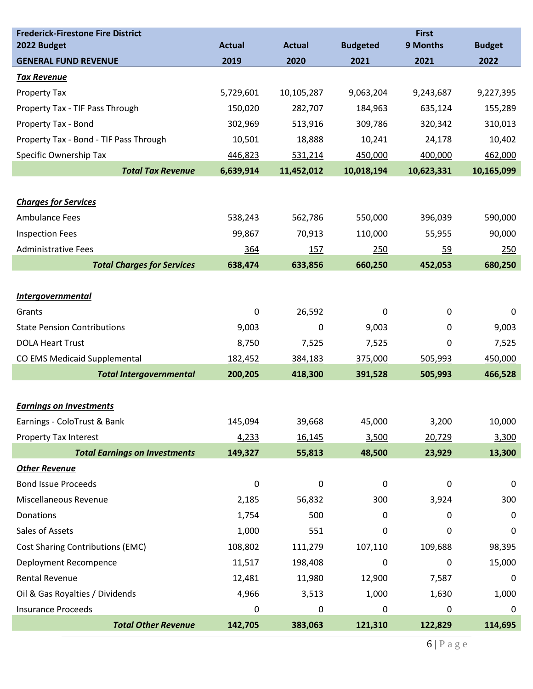| <b>Frederick-Firestone Fire District</b><br>2022 Budget | <b>Actual</b> | <b>Actual</b> | <b>Budgeted</b> | <b>First</b><br>9 Months | <b>Budget</b> |
|---------------------------------------------------------|---------------|---------------|-----------------|--------------------------|---------------|
| <b>GENERAL FUND REVENUE</b>                             | 2019          | 2020          | 2021            | 2021                     | 2022          |
| <b>Tax Revenue</b>                                      |               |               |                 |                          |               |
| Property Tax                                            | 5,729,601     | 10,105,287    | 9,063,204       | 9,243,687                | 9,227,395     |
| Property Tax - TIF Pass Through                         | 150,020       | 282,707       | 184,963         | 635,124                  | 155,289       |
| Property Tax - Bond                                     | 302,969       | 513,916       | 309,786         | 320,342                  | 310,013       |
| Property Tax - Bond - TIF Pass Through                  | 10,501        | 18,888        | 10,241          | 24,178                   | 10,402        |
| Specific Ownership Tax                                  | 446,823       | 531,214       | 450,000         | 400,000                  | 462,000       |
| <b>Total Tax Revenue</b>                                | 6,639,914     | 11,452,012    | 10,018,194      | 10,623,331               | 10,165,099    |
|                                                         |               |               |                 |                          |               |
| <b>Charges for Services</b>                             |               |               |                 |                          |               |
| <b>Ambulance Fees</b>                                   | 538,243       | 562,786       | 550,000         | 396,039                  | 590,000       |
| <b>Inspection Fees</b>                                  | 99,867        | 70,913        | 110,000         | 55,955                   | 90,000        |
| <b>Administrative Fees</b>                              | 364           | 157           | 250             | <u>59</u>                | 250           |
| <b>Total Charges for Services</b>                       | 638,474       | 633,856       | 660,250         | 452,053                  | 680,250       |
|                                                         |               |               |                 |                          |               |
| <b>Intergovernmental</b>                                |               |               |                 |                          |               |
| Grants                                                  | 0             | 26,592        | 0               | 0                        | 0             |
| <b>State Pension Contributions</b>                      | 9,003         | 0             | 9,003           | 0                        | 9,003         |
| <b>DOLA Heart Trust</b>                                 | 8,750         | 7,525         | 7,525           | 0                        | 7,525         |
| CO EMS Medicaid Supplemental                            | 182,452       | 384,183       | 375,000         | 505,993                  | 450,000       |
| <b>Total Intergovernmental</b>                          | 200,205       | 418,300       | 391,528         | 505,993                  | 466,528       |
|                                                         |               |               |                 |                          |               |
| <b>Earnings on Investments</b>                          |               |               |                 |                          |               |
| Earnings - ColoTrust & Bank                             | 145,094       | 39,668        | 45,000          | 3,200                    | 10,000        |
| Property Tax Interest                                   | 4,233         | 16,145        | 3,500           | 20,729                   | 3,300         |
| <b>Total Earnings on Investments</b>                    | 149,327       | 55,813        | 48,500          | 23,929                   | 13,300        |
| <b>Other Revenue</b>                                    |               |               |                 |                          |               |
| <b>Bond Issue Proceeds</b>                              | 0             | $\mathbf 0$   | 0               | 0                        | 0             |
| Miscellaneous Revenue                                   | 2,185         | 56,832        | 300             | 3,924                    | 300           |
| Donations                                               | 1,754         | 500           | 0               | 0                        | 0             |
| Sales of Assets                                         | 1,000         | 551           | 0               | 0                        | 0             |
| <b>Cost Sharing Contributions (EMC)</b>                 | 108,802       | 111,279       | 107,110         | 109,688                  | 98,395        |
| Deployment Recompence                                   | 11,517        | 198,408       | 0               | 0                        | 15,000        |
| Rental Revenue                                          | 12,481        | 11,980        | 12,900          | 7,587                    | 0             |
| Oil & Gas Royalties / Dividends                         | 4,966         | 3,513         | 1,000           | 1,630                    | 1,000         |
| <b>Insurance Proceeds</b>                               | 0             | 0             | 0               | 0                        | 0             |
| <b>Total Other Revenue</b>                              | 142,705       | 383,063       | 121,310         | 122,829                  | 114,695       |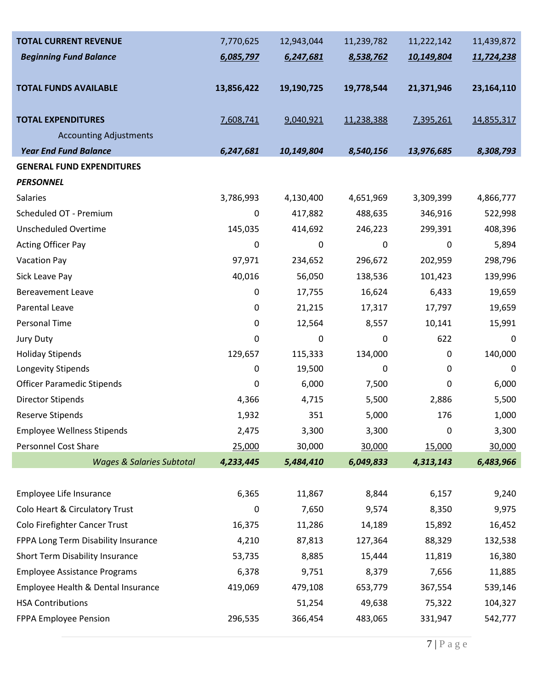| <b>TOTAL CURRENT REVENUE</b>         | 7,770,625   | 12,943,044 | 11,239,782  | 11,222,142       | 11,439,872   |
|--------------------------------------|-------------|------------|-------------|------------------|--------------|
| <b>Beginning Fund Balance</b>        | 6,085,797   | 6,247,681  | 8,538,762   | 10,149,804       | 11,724,238   |
|                                      |             |            |             |                  |              |
| <b>TOTAL FUNDS AVAILABLE</b>         | 13,856,422  | 19,190,725 | 19,778,544  | 21,371,946       | 23, 164, 110 |
| <b>TOTAL EXPENDITURES</b>            | 7,608,741   | 9,040,921  | 11,238,388  | 7,395,261        | 14,855,317   |
| <b>Accounting Adjustments</b>        |             |            |             |                  |              |
| <b>Year End Fund Balance</b>         | 6,247,681   | 10,149,804 | 8,540,156   | 13,976,685       | 8,308,793    |
| <b>GENERAL FUND EXPENDITURES</b>     |             |            |             |                  |              |
| <b>PERSONNEL</b>                     |             |            |             |                  |              |
| <b>Salaries</b>                      | 3,786,993   | 4,130,400  | 4,651,969   | 3,309,399        | 4,866,777    |
| Scheduled OT - Premium               | 0           | 417,882    | 488,635     | 346,916          | 522,998      |
| <b>Unscheduled Overtime</b>          | 145,035     | 414,692    | 246,223     | 299,391          | 408,396      |
| <b>Acting Officer Pay</b>            | 0           | 0          | $\mathbf 0$ | $\boldsymbol{0}$ | 5,894        |
| <b>Vacation Pay</b>                  | 97,971      | 234,652    | 296,672     | 202,959          | 298,796      |
| Sick Leave Pay                       | 40,016      | 56,050     | 138,536     | 101,423          | 139,996      |
| <b>Bereavement Leave</b>             | $\pmb{0}$   | 17,755     | 16,624      | 6,433            | 19,659       |
| Parental Leave                       | 0           | 21,215     | 17,317      | 17,797           | 19,659       |
| <b>Personal Time</b>                 | 0           | 12,564     | 8,557       | 10,141           | 15,991       |
| Jury Duty                            | 0           | 0          | 0           | 622              | 0            |
| <b>Holiday Stipends</b>              | 129,657     | 115,333    | 134,000     | 0                | 140,000      |
| Longevity Stipends                   | 0           | 19,500     | 0           | 0                | $\mathbf 0$  |
| <b>Officer Paramedic Stipends</b>    | 0           | 6,000      | 7,500       | 0                | 6,000        |
| <b>Director Stipends</b>             | 4,366       | 4,715      | 5,500       | 2,886            | 5,500        |
| <b>Reserve Stipends</b>              | 1,932       | 351        | 5,000       | 176              | 1,000        |
| <b>Employee Wellness Stipends</b>    | 2,475       | 3,300      | 3,300       | $\mathbf 0$      | 3,300        |
| Personnel Cost Share                 | 25,000      | 30,000     | 30,000      | 15,000           | 30,000       |
| <b>Wages &amp; Salaries Subtotal</b> | 4,233,445   | 5,484,410  | 6,049,833   | 4,313,143        | 6,483,966    |
|                                      |             |            |             |                  |              |
| Employee Life Insurance              | 6,365       | 11,867     | 8,844       | 6,157            | 9,240        |
| Colo Heart & Circulatory Trust       | $\mathbf 0$ | 7,650      | 9,574       | 8,350            | 9,975        |
| Colo Firefighter Cancer Trust        | 16,375      | 11,286     | 14,189      | 15,892           | 16,452       |
| FPPA Long Term Disability Insurance  | 4,210       | 87,813     | 127,364     | 88,329           | 132,538      |
| Short Term Disability Insurance      | 53,735      | 8,885      | 15,444      | 11,819           | 16,380       |
| <b>Employee Assistance Programs</b>  | 6,378       | 9,751      | 8,379       | 7,656            | 11,885       |
| Employee Health & Dental Insurance   | 419,069     | 479,108    | 653,779     | 367,554          | 539,146      |
| <b>HSA Contributions</b>             |             | 51,254     | 49,638      | 75,322           | 104,327      |
| FPPA Employee Pension                | 296,535     | 366,454    | 483,065     | 331,947          | 542,777      |
|                                      |             |            |             |                  |              |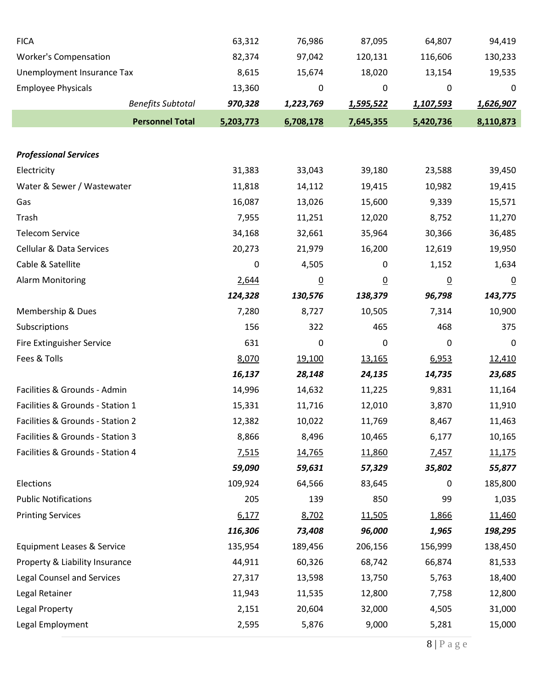| <b>FICA</b>                                 | 63,312    | 76,986    | 87,095          | 64,807         | 94,419           |
|---------------------------------------------|-----------|-----------|-----------------|----------------|------------------|
| <b>Worker's Compensation</b>                | 82,374    | 97,042    | 120,131         | 116,606        | 130,233          |
| Unemployment Insurance Tax                  | 8,615     | 15,674    | 18,020          | 13,154         | 19,535           |
| <b>Employee Physicals</b>                   | 13,360    | 0         | $\mathbf 0$     | 0              | 0                |
| <b>Benefits Subtotal</b>                    | 970,328   | 1,223,769 | 1,595,522       | 1,107,593      | 1,626,907        |
| <b>Personnel Total</b>                      | 5,203,773 | 6,708,178 | 7,645,355       | 5,420,736      | 8,110,873        |
|                                             |           |           |                 |                |                  |
| <b>Professional Services</b><br>Electricity | 31,383    | 33,043    | 39,180          | 23,588         |                  |
| Water & Sewer / Wastewater                  | 11,818    | 14,112    | 19,415          | 10,982         | 39,450<br>19,415 |
| Gas                                         | 16,087    | 13,026    | 15,600          | 9,339          | 15,571           |
| Trash                                       | 7,955     | 11,251    | 12,020          | 8,752          | 11,270           |
| <b>Telecom Service</b>                      | 34,168    | 32,661    | 35,964          | 30,366         | 36,485           |
| <b>Cellular &amp; Data Services</b>         | 20,273    | 21,979    | 16,200          | 12,619         | 19,950           |
| Cable & Satellite                           | 0         | 4,505     | $\pmb{0}$       | 1,152          | 1,634            |
| <b>Alarm Monitoring</b>                     | 2,644     | <u>0</u>  | $\underline{0}$ | $\overline{0}$ | $\overline{0}$   |
|                                             | 124,328   | 130,576   | 138,379         | 96,798         | 143,775          |
| Membership & Dues                           | 7,280     | 8,727     | 10,505          | 7,314          | 10,900           |
| Subscriptions                               | 156       | 322       | 465             | 468            | 375              |
| Fire Extinguisher Service                   | 631       | 0         | 0               | 0              | 0                |
| Fees & Tolls                                | 8,070     | 19,100    | 13,165          | 6,953          | 12,410           |
|                                             | 16,137    | 28,148    | 24,135          | 14,735         | 23,685           |
| Facilities & Grounds - Admin                | 14,996    | 14,632    | 11,225          | 9,831          | 11,164           |
| Facilities & Grounds - Station 1            | 15,331    | 11,716    | 12,010          | 3,870          | 11,910           |
| Facilities & Grounds - Station 2            | 12,382    | 10,022    | 11,769          | 8,467          | 11,463           |
| Facilities & Grounds - Station 3            | 8,866     | 8,496     | 10,465          | 6,177          | 10,165           |
| Facilities & Grounds - Station 4            | 7,515     | 14,765    | 11,860          | 7,457          | 11,175           |
|                                             | 59,090    | 59,631    | 57,329          | 35,802         | 55,877           |
| Elections                                   | 109,924   | 64,566    | 83,645          | 0              | 185,800          |
| <b>Public Notifications</b>                 | 205       | 139       | 850             | 99             | 1,035            |
| <b>Printing Services</b>                    | 6,177     | 8,702     | 11,505          | 1,866          | 11,460           |
|                                             | 116,306   | 73,408    | 96,000          | 1,965          | 198,295          |
| <b>Equipment Leases &amp; Service</b>       | 135,954   | 189,456   | 206,156         | 156,999        | 138,450          |
| Property & Liability Insurance              | 44,911    | 60,326    | 68,742          | 66,874         | 81,533           |
| <b>Legal Counsel and Services</b>           | 27,317    | 13,598    | 13,750          | 5,763          | 18,400           |
| Legal Retainer                              | 11,943    | 11,535    | 12,800          | 7,758          | 12,800           |
| Legal Property                              | 2,151     | 20,604    | 32,000          | 4,505          | 31,000           |
| Legal Employment                            | 2,595     | 5,876     | 9,000           | 5,281          | 15,000           |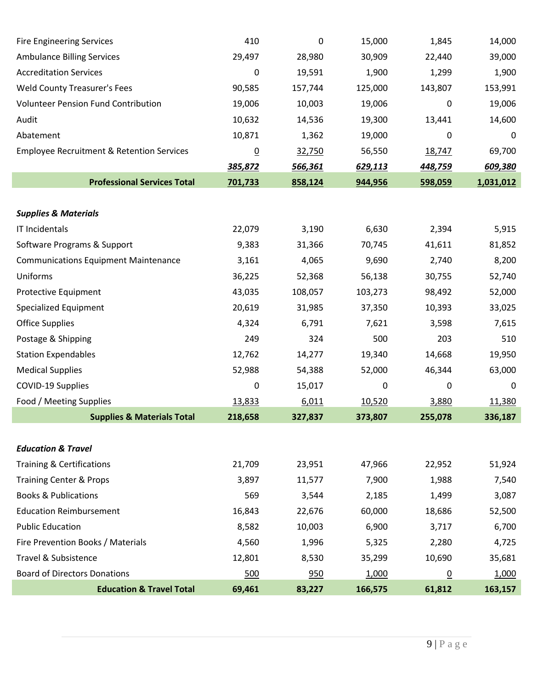| <b>Fire Engineering Services</b>                     | 410            | 0       | 15,000  | 1,845          | 14,000    |
|------------------------------------------------------|----------------|---------|---------|----------------|-----------|
| <b>Ambulance Billing Services</b>                    | 29,497         | 28,980  | 30,909  | 22,440         | 39,000    |
| <b>Accreditation Services</b>                        | 0              | 19,591  | 1,900   | 1,299          | 1,900     |
| <b>Weld County Treasurer's Fees</b>                  | 90,585         | 157,744 | 125,000 | 143,807        | 153,991   |
| <b>Volunteer Pension Fund Contribution</b>           | 19,006         | 10,003  | 19,006  | 0              | 19,006    |
| Audit                                                | 10,632         | 14,536  | 19,300  | 13,441         | 14,600    |
| Abatement                                            | 10,871         | 1,362   | 19,000  | 0              | 0         |
| <b>Employee Recruitment &amp; Retention Services</b> | $\overline{0}$ | 32,750  | 56,550  | 18,747         | 69,700    |
|                                                      | 385,872        | 566,361 | 629,113 | 448,759        | 609,380   |
| <b>Professional Services Total</b>                   | 701,733        | 858,124 | 944,956 | 598,059        | 1,031,012 |
|                                                      |                |         |         |                |           |
| <b>Supplies &amp; Materials</b>                      |                |         |         |                |           |
| IT Incidentals                                       | 22,079         | 3,190   | 6,630   | 2,394          | 5,915     |
| Software Programs & Support                          | 9,383          | 31,366  | 70,745  | 41,611         | 81,852    |
| <b>Communications Equipment Maintenance</b>          | 3,161          | 4,065   | 9,690   | 2,740          | 8,200     |
| Uniforms                                             | 36,225         | 52,368  | 56,138  | 30,755         | 52,740    |
| Protective Equipment                                 | 43,035         | 108,057 | 103,273 | 98,492         | 52,000    |
| Specialized Equipment                                | 20,619         | 31,985  | 37,350  | 10,393         | 33,025    |
| <b>Office Supplies</b>                               | 4,324          | 6,791   | 7,621   | 3,598          | 7,615     |
| Postage & Shipping                                   | 249            | 324     | 500     | 203            | 510       |
| <b>Station Expendables</b>                           | 12,762         | 14,277  | 19,340  | 14,668         | 19,950    |
| <b>Medical Supplies</b>                              | 52,988         | 54,388  | 52,000  | 46,344         | 63,000    |
| COVID-19 Supplies                                    | 0              | 15,017  | 0       | 0              | 0         |
| Food / Meeting Supplies                              | 13,833         | 6,011   | 10,520  | 3,880          | 11,380    |
| <b>Supplies &amp; Materials Total</b>                | 218,658        | 327,837 | 373,807 | 255,078        | 336,187   |
|                                                      |                |         |         |                |           |
| <b>Education &amp; Travel</b>                        |                |         |         |                |           |
| <b>Training &amp; Certifications</b>                 | 21,709         | 23,951  | 47,966  | 22,952         | 51,924    |
| <b>Training Center &amp; Props</b>                   | 3,897          | 11,577  | 7,900   | 1,988          | 7,540     |
| <b>Books &amp; Publications</b>                      | 569            | 3,544   | 2,185   | 1,499          | 3,087     |
| <b>Education Reimbursement</b>                       | 16,843         | 22,676  | 60,000  | 18,686         | 52,500    |
| <b>Public Education</b>                              | 8,582          | 10,003  | 6,900   | 3,717          | 6,700     |
| Fire Prevention Books / Materials                    | 4,560          | 1,996   | 5,325   | 2,280          | 4,725     |
| Travel & Subsistence                                 | 12,801         | 8,530   | 35,299  | 10,690         | 35,681    |
| <b>Board of Directors Donations</b>                  | 500            | 950     | 1,000   | $\overline{0}$ | 1,000     |
| <b>Education &amp; Travel Total</b>                  | 69,461         | 83,227  | 166,575 | 61,812         | 163,157   |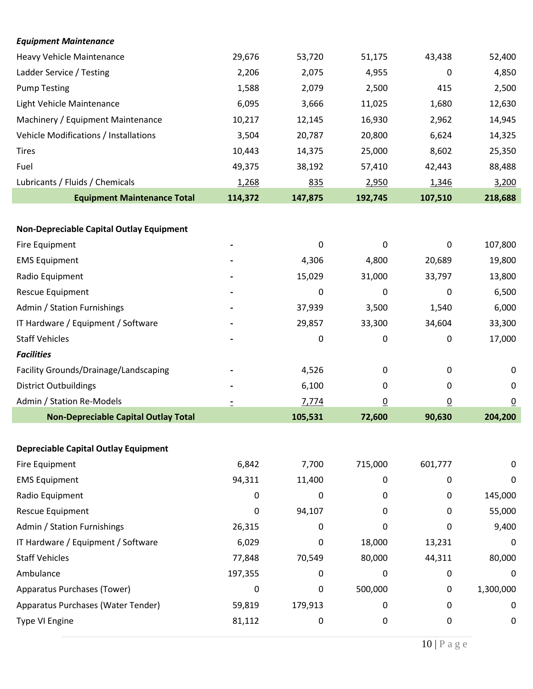| <b>Equipment Maintenance</b>                |         |         |          |                |                |
|---------------------------------------------|---------|---------|----------|----------------|----------------|
| <b>Heavy Vehicle Maintenance</b>            | 29,676  | 53,720  | 51,175   | 43,438         | 52,400         |
| Ladder Service / Testing                    | 2,206   | 2,075   | 4,955    | 0              | 4,850          |
| <b>Pump Testing</b>                         | 1,588   | 2,079   | 2,500    | 415            | 2,500          |
| Light Vehicle Maintenance                   | 6,095   | 3,666   | 11,025   | 1,680          | 12,630         |
| Machinery / Equipment Maintenance           | 10,217  | 12,145  | 16,930   | 2,962          | 14,945         |
| Vehicle Modifications / Installations       | 3,504   | 20,787  | 20,800   | 6,624          | 14,325         |
| <b>Tires</b>                                | 10,443  | 14,375  | 25,000   | 8,602          | 25,350         |
| Fuel                                        | 49,375  | 38,192  | 57,410   | 42,443         | 88,488         |
| Lubricants / Fluids / Chemicals             | 1,268   | 835     | 2,950    | 1,346          | 3,200          |
| <b>Equipment Maintenance Total</b>          | 114,372 | 147,875 | 192,745  | 107,510        | 218,688        |
|                                             |         |         |          |                |                |
| Non-Depreciable Capital Outlay Equipment    |         |         |          |                |                |
| Fire Equipment                              |         | 0       | 0        | 0              | 107,800        |
| <b>EMS Equipment</b>                        |         | 4,306   | 4,800    | 20,689         | 19,800         |
| Radio Equipment                             |         | 15,029  | 31,000   | 33,797         | 13,800         |
| Rescue Equipment                            |         | 0       | 0        | 0              | 6,500          |
| Admin / Station Furnishings                 |         | 37,939  | 3,500    | 1,540          | 6,000          |
| IT Hardware / Equipment / Software          |         | 29,857  | 33,300   | 34,604         | 33,300         |
| <b>Staff Vehicles</b>                       |         | 0       | 0        | 0              | 17,000         |
| <b>Facilities</b>                           |         |         |          |                |                |
| Facility Grounds/Drainage/Landscaping       |         | 4,526   | 0        | 0              | 0              |
| <b>District Outbuildings</b>                |         | 6,100   | 0        | 0              | 0              |
| Admin / Station Re-Models                   |         | 7,774   | <u>0</u> | $\overline{0}$ | $\overline{0}$ |
| <b>Non-Depreciable Capital Outlay Total</b> |         | 105,531 | 72,600   | 90,630         | 204,200        |
|                                             |         |         |          |                |                |
| <b>Depreciable Capital Outlay Equipment</b> |         |         |          |                |                |
| Fire Equipment                              | 6,842   | 7,700   | 715,000  | 601,777        | 0              |
| <b>EMS Equipment</b>                        | 94,311  | 11,400  | 0        | 0              | 0              |
| Radio Equipment                             | 0       | 0       | 0        | 0              | 145,000        |
| Rescue Equipment                            | 0       | 94,107  | 0        | 0              | 55,000         |
| Admin / Station Furnishings                 | 26,315  | 0       | 0        | 0              | 9,400          |
| IT Hardware / Equipment / Software          | 6,029   | 0       | 18,000   | 13,231         | 0              |
| <b>Staff Vehicles</b>                       | 77,848  | 70,549  | 80,000   | 44,311         | 80,000         |
| Ambulance                                   | 197,355 | 0       | 0        | 0              | 0              |
| Apparatus Purchases (Tower)                 | 0       | 0       | 500,000  | 0              | 1,300,000      |
| Apparatus Purchases (Water Tender)          | 59,819  | 179,913 | 0        | 0              | 0              |
| Type VI Engine                              | 81,112  | 0       | 0        | 0              | 0              |
|                                             |         |         |          |                |                |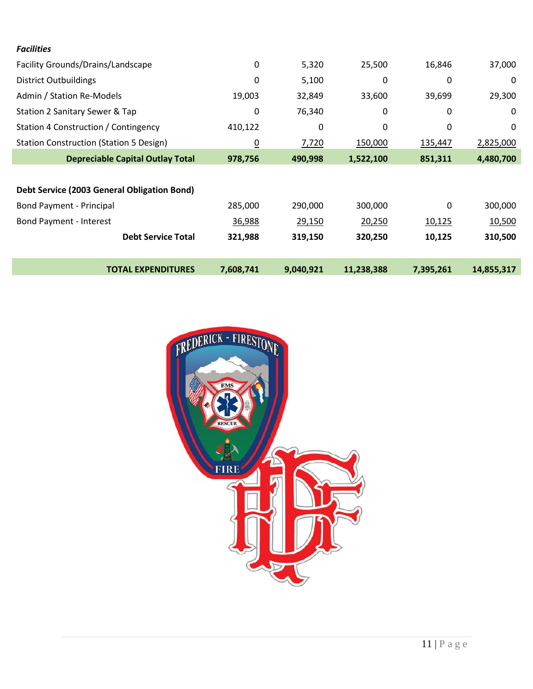| <b>Facilities</b>                              |                 |           |            |           |            |
|------------------------------------------------|-----------------|-----------|------------|-----------|------------|
| Facility Grounds/Drains/Landscape              | $\mathbf{0}$    | 5,320     | 25,500     | 16,846    | 37,000     |
| <b>District Outbuildings</b>                   | 0               | 5,100     | 0          | 0         | 0          |
| Admin / Station Re-Models                      | 19,003          | 32,849    | 33,600     | 39,699    | 29,300     |
| Station 2 Sanitary Sewer & Tap                 | 0               | 76,340    | 0          | 0         | 0          |
| Station 4 Construction / Contingency           | 410,122         | 0         | 0          | 0         | 0          |
| <b>Station Construction (Station 5 Design)</b> | $\underline{0}$ | 7,720     | 150,000    | 135,447   | 2,825,000  |
| <b>Depreciable Capital Outlay Total</b>        | 978,756         | 490,998   | 1,522,100  | 851,311   | 4,480,700  |
|                                                |                 |           |            |           |            |
| Debt Service (2003 General Obligation Bond)    |                 |           |            |           |            |
| <b>Bond Payment - Principal</b>                | 285,000         | 290,000   | 300,000    | 0         | 300,000    |
| Bond Payment - Interest                        | 36,988          | 29,150    | 20,250     | 10,125    | 10,500     |
| <b>Debt Service Total</b>                      | 321,988         | 319,150   | 320,250    | 10,125    | 310,500    |
|                                                |                 |           |            |           |            |
| <b>TOTAL EXPENDITURES</b>                      | 7,608,741       | 9,040,921 | 11,238,388 | 7,395,261 | 14,855,317 |

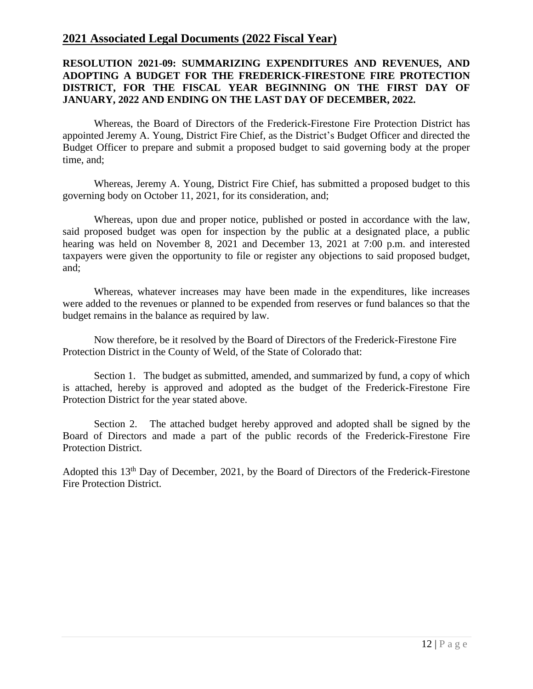# **2021 Associated Legal Documents (2022 Fiscal Year)**

#### **RESOLUTION 2021-09: SUMMARIZING EXPENDITURES AND REVENUES, AND ADOPTING A BUDGET FOR THE FREDERICK-FIRESTONE FIRE PROTECTION DISTRICT, FOR THE FISCAL YEAR BEGINNING ON THE FIRST DAY OF JANUARY, 2022 AND ENDING ON THE LAST DAY OF DECEMBER, 2022.**

Whereas, the Board of Directors of the Frederick-Firestone Fire Protection District has appointed Jeremy A. Young, District Fire Chief, as the District's Budget Officer and directed the Budget Officer to prepare and submit a proposed budget to said governing body at the proper time, and;

Whereas, Jeremy A. Young, District Fire Chief, has submitted a proposed budget to this governing body on October 11, 2021, for its consideration, and;

Whereas, upon due and proper notice, published or posted in accordance with the law, said proposed budget was open for inspection by the public at a designated place, a public hearing was held on November 8, 2021 and December 13, 2021 at 7:00 p.m. and interested taxpayers were given the opportunity to file or register any objections to said proposed budget, and;

Whereas, whatever increases may have been made in the expenditures, like increases were added to the revenues or planned to be expended from reserves or fund balances so that the budget remains in the balance as required by law.

Now therefore, be it resolved by the Board of Directors of the Frederick-Firestone Fire Protection District in the County of Weld, of the State of Colorado that:

Section 1. The budget as submitted, amended, and summarized by fund, a copy of which is attached, hereby is approved and adopted as the budget of the Frederick-Firestone Fire Protection District for the year stated above.

Section 2. The attached budget hereby approved and adopted shall be signed by the Board of Directors and made a part of the public records of the Frederick-Firestone Fire Protection District.

Adopted this 13<sup>th</sup> Day of December, 2021, by the Board of Directors of the Frederick-Firestone Fire Protection District.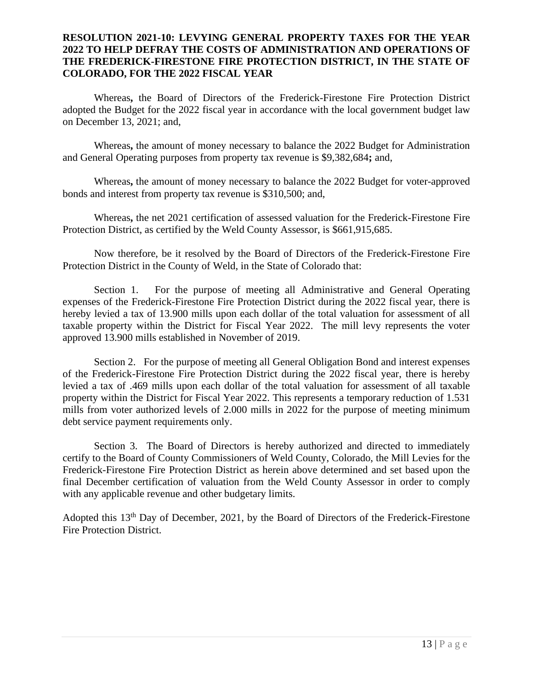#### **RESOLUTION 2021-10: LEVYING GENERAL PROPERTY TAXES FOR THE YEAR 2022 TO HELP DEFRAY THE COSTS OF ADMINISTRATION AND OPERATIONS OF THE FREDERICK-FIRESTONE FIRE PROTECTION DISTRICT, IN THE STATE OF COLORADO, FOR THE 2022 FISCAL YEAR**

Whereas**,** the Board of Directors of the Frederick-Firestone Fire Protection District adopted the Budget for the 2022 fiscal year in accordance with the local government budget law on December 13, 2021; and,

Whereas**,** the amount of money necessary to balance the 2022 Budget for Administration and General Operating purposes from property tax revenue is \$9,382,684**;** and,

Whereas**,** the amount of money necessary to balance the 2022 Budget for voter-approved bonds and interest from property tax revenue is \$310,500; and,

Whereas**,** the net 2021 certification of assessed valuation for the Frederick-Firestone Fire Protection District, as certified by the Weld County Assessor, is \$661,915,685.

Now therefore, be it resolved by the Board of Directors of the Frederick-Firestone Fire Protection District in the County of Weld, in the State of Colorado that:

Section 1. For the purpose of meeting all Administrative and General Operating expenses of the Frederick-Firestone Fire Protection District during the 2022 fiscal year, there is hereby levied a tax of 13.900 mills upon each dollar of the total valuation for assessment of all taxable property within the District for Fiscal Year 2022. The mill levy represents the voter approved 13.900 mills established in November of 2019.

Section 2. For the purpose of meeting all General Obligation Bond and interest expenses of the Frederick-Firestone Fire Protection District during the 2022 fiscal year, there is hereby levied a tax of .469 mills upon each dollar of the total valuation for assessment of all taxable property within the District for Fiscal Year 2022. This represents a temporary reduction of 1.531 mills from voter authorized levels of 2.000 mills in 2022 for the purpose of meeting minimum debt service payment requirements only.

Section 3. The Board of Directors is hereby authorized and directed to immediately certify to the Board of County Commissioners of Weld County, Colorado, the Mill Levies for the Frederick-Firestone Fire Protection District as herein above determined and set based upon the final December certification of valuation from the Weld County Assessor in order to comply with any applicable revenue and other budgetary limits.

Adopted this 13<sup>th</sup> Day of December, 2021, by the Board of Directors of the Frederick-Firestone Fire Protection District.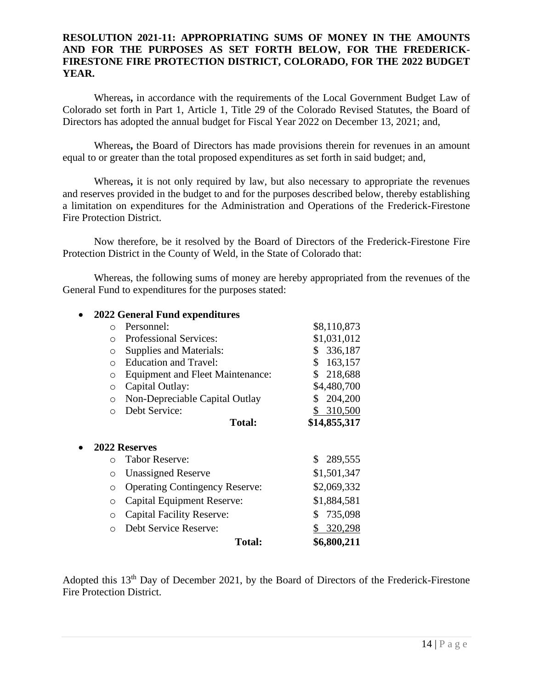#### **RESOLUTION 2021-11: APPROPRIATING SUMS OF MONEY IN THE AMOUNTS AND FOR THE PURPOSES AS SET FORTH BELOW, FOR THE FREDERICK-FIRESTONE FIRE PROTECTION DISTRICT, COLORADO, FOR THE 2022 BUDGET YEAR.**

Whereas**,** in accordance with the requirements of the Local Government Budget Law of Colorado set forth in Part 1, Article 1, Title 29 of the Colorado Revised Statutes, the Board of Directors has adopted the annual budget for Fiscal Year 2022 on December 13, 2021; and,

Whereas**,** the Board of Directors has made provisions therein for revenues in an amount equal to or greater than the total proposed expenditures as set forth in said budget; and,

Whereas**,** it is not only required by law, but also necessary to appropriate the revenues and reserves provided in the budget to and for the purposes described below, thereby establishing a limitation on expenditures for the Administration and Operations of the Frederick-Firestone Fire Protection District.

Now therefore, be it resolved by the Board of Directors of the Frederick-Firestone Fire Protection District in the County of Weld, in the State of Colorado that:

Whereas, the following sums of money are hereby appropriated from the revenues of the General Fund to expenditures for the purposes stated:

|            | 2022 General Fund expenditures               |               |  |  |  |  |
|------------|----------------------------------------------|---------------|--|--|--|--|
| $\bigcirc$ | Personnel:                                   | \$8,110,873   |  |  |  |  |
| $\bigcirc$ | \$1,031,012<br><b>Professional Services:</b> |               |  |  |  |  |
| O          | Supplies and Materials:                      | 336,187<br>\$ |  |  |  |  |
| $\bigcirc$ | <b>Education and Travel:</b>                 | 163,157<br>\$ |  |  |  |  |
| $\bigcirc$ | <b>Equipment and Fleet Maintenance:</b>      | 218,688<br>S. |  |  |  |  |
| $\circ$    | Capital Outlay:                              | \$4,480,700   |  |  |  |  |
| $\bigcirc$ | Non-Depreciable Capital Outlay               | 204,200       |  |  |  |  |
|            | Debt Service:                                | \$ 310,500    |  |  |  |  |
|            | <b>Total:</b>                                | \$14,855,317  |  |  |  |  |
|            | 2022 Reserves                                |               |  |  |  |  |
| $\bigcap$  | <b>Tabor Reserve:</b>                        | \$289,555     |  |  |  |  |
| O          | <b>Unassigned Reserve</b>                    | \$1,501,347   |  |  |  |  |
| O          | <b>Operating Contingency Reserve:</b>        | \$2,069,332   |  |  |  |  |
| O          | Capital Equipment Reserve:                   | \$1,884,581   |  |  |  |  |
| ∩          | <b>Capital Facility Reserve:</b>             | 735,098<br>S. |  |  |  |  |
|            | Debt Service Reserve:                        |               |  |  |  |  |
| ∩          |                                              | 320,298       |  |  |  |  |

Adopted this 13<sup>th</sup> Day of December 2021, by the Board of Directors of the Frederick-Firestone Fire Protection District.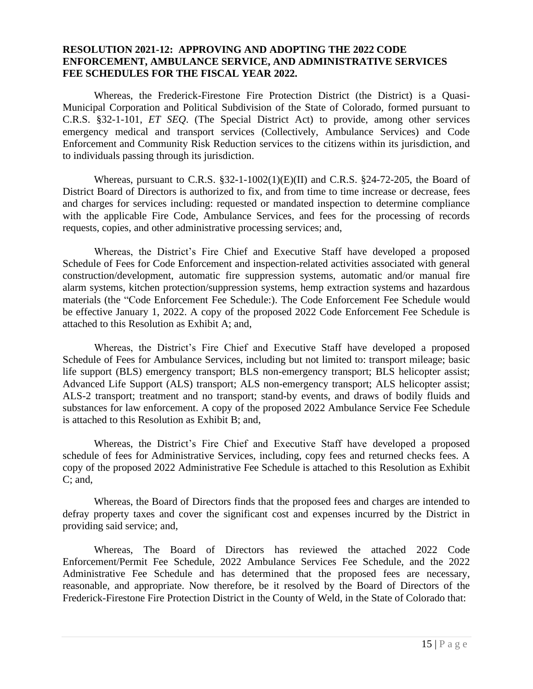#### **RESOLUTION 2021-12: APPROVING AND ADOPTING THE 2022 CODE ENFORCEMENT, AMBULANCE SERVICE, AND ADMINISTRATIVE SERVICES FEE SCHEDULES FOR THE FISCAL YEAR 2022.**

Whereas, the Frederick-Firestone Fire Protection District (the District) is a Quasi-Municipal Corporation and Political Subdivision of the State of Colorado, formed pursuant to C.R.S. §32-1-101, *ET SEQ*. (The Special District Act) to provide, among other services emergency medical and transport services (Collectively, Ambulance Services) and Code Enforcement and Community Risk Reduction services to the citizens within its jurisdiction, and to individuals passing through its jurisdiction.

Whereas, pursuant to C.R.S.  $\S 32$ -1-1002(1)(E)(II) and C.R.S.  $\S 24$ -72-205, the Board of District Board of Directors is authorized to fix, and from time to time increase or decrease, fees and charges for services including: requested or mandated inspection to determine compliance with the applicable Fire Code, Ambulance Services, and fees for the processing of records requests, copies, and other administrative processing services; and,

Whereas, the District's Fire Chief and Executive Staff have developed a proposed Schedule of Fees for Code Enforcement and inspection-related activities associated with general construction/development, automatic fire suppression systems, automatic and/or manual fire alarm systems, kitchen protection/suppression systems, hemp extraction systems and hazardous materials (the "Code Enforcement Fee Schedule:). The Code Enforcement Fee Schedule would be effective January 1, 2022. A copy of the proposed 2022 Code Enforcement Fee Schedule is attached to this Resolution as Exhibit A; and,

Whereas, the District's Fire Chief and Executive Staff have developed a proposed Schedule of Fees for Ambulance Services, including but not limited to: transport mileage; basic life support (BLS) emergency transport; BLS non-emergency transport; BLS helicopter assist; Advanced Life Support (ALS) transport; ALS non-emergency transport; ALS helicopter assist; ALS-2 transport; treatment and no transport; stand-by events, and draws of bodily fluids and substances for law enforcement. A copy of the proposed 2022 Ambulance Service Fee Schedule is attached to this Resolution as Exhibit B; and,

Whereas, the District's Fire Chief and Executive Staff have developed a proposed schedule of fees for Administrative Services, including, copy fees and returned checks fees. A copy of the proposed 2022 Administrative Fee Schedule is attached to this Resolution as Exhibit C; and,

Whereas, the Board of Directors finds that the proposed fees and charges are intended to defray property taxes and cover the significant cost and expenses incurred by the District in providing said service; and,

Whereas, The Board of Directors has reviewed the attached 2022 Code Enforcement/Permit Fee Schedule, 2022 Ambulance Services Fee Schedule, and the 2022 Administrative Fee Schedule and has determined that the proposed fees are necessary, reasonable, and appropriate. Now therefore, be it resolved by the Board of Directors of the Frederick-Firestone Fire Protection District in the County of Weld, in the State of Colorado that: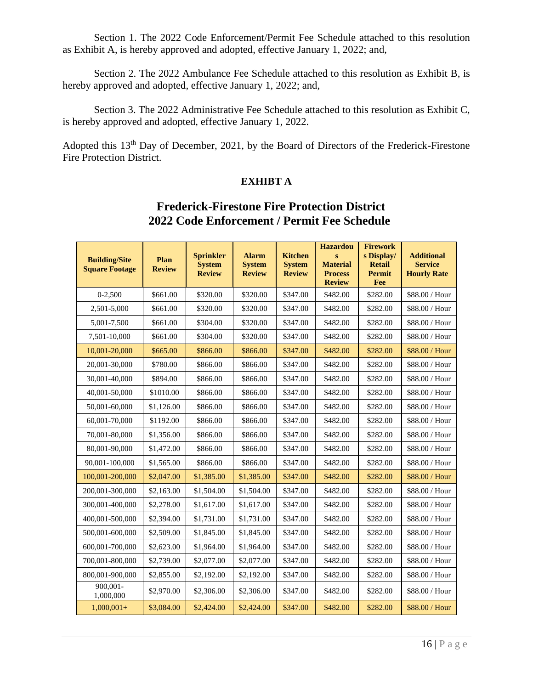Section 1. The 2022 Code Enforcement/Permit Fee Schedule attached to this resolution as Exhibit A, is hereby approved and adopted, effective January 1, 2022; and,

Section 2. The 2022 Ambulance Fee Schedule attached to this resolution as Exhibit B, is hereby approved and adopted, effective January 1, 2022; and,

Section 3. The 2022 Administrative Fee Schedule attached to this resolution as Exhibit C, is hereby approved and adopted, effective January 1, 2022.

Adopted this 13<sup>th</sup> Day of December, 2021, by the Board of Directors of the Frederick-Firestone Fire Protection District.

#### **EXHIBT A**

# **Frederick-Firestone Fire Protection District 2022 Code Enforcement / Permit Fee Schedule**

| <b>Building/Site</b><br><b>Square Footage</b> | Plan<br><b>Review</b> | <b>Sprinkler</b><br><b>System</b><br><b>Review</b> | <b>Alarm</b><br><b>System</b><br><b>Review</b> | <b>Kitchen</b><br><b>System</b><br><b>Review</b> | <b>Hazardou</b><br>$\bf{s}$<br><b>Material</b><br><b>Process</b><br><b>Review</b> | <b>Firework</b><br>s Display/<br><b>Retail</b><br><b>Permit</b><br>Fee | <b>Additional</b><br><b>Service</b><br><b>Hourly Rate</b> |
|-----------------------------------------------|-----------------------|----------------------------------------------------|------------------------------------------------|--------------------------------------------------|-----------------------------------------------------------------------------------|------------------------------------------------------------------------|-----------------------------------------------------------|
| $0 - 2,500$                                   | \$661.00              | \$320.00                                           | \$320.00                                       | \$347.00                                         | \$482.00                                                                          | \$282.00                                                               | \$88.00 / Hour                                            |
| 2,501-5,000                                   | \$661.00              | \$320.00                                           | \$320.00                                       | \$347.00                                         | \$482.00                                                                          | \$282.00                                                               | \$88.00 / Hour                                            |
| 5,001-7,500                                   | \$661.00              | \$304.00                                           | \$320.00                                       | \$347.00                                         | \$482.00                                                                          | \$282.00                                                               | \$88.00 / Hour                                            |
| 7,501-10,000                                  | \$661.00              | \$304.00                                           | \$320.00                                       | \$347.00                                         | \$482.00                                                                          | \$282.00                                                               | \$88.00 / Hour                                            |
| 10,001-20,000                                 | \$665.00              | \$866.00                                           | \$866.00                                       | \$347.00                                         | \$482.00                                                                          | \$282.00                                                               | \$88.00 / Hour                                            |
| 20,001-30,000                                 | \$780.00              | \$866.00                                           | \$866.00                                       | \$347.00                                         | \$482.00                                                                          | \$282.00                                                               | \$88.00 / Hour                                            |
| 30,001-40,000                                 | \$894.00              | \$866.00                                           | \$866.00                                       | \$347.00                                         | \$482.00                                                                          | \$282.00                                                               | \$88.00 / Hour                                            |
| 40,001-50,000                                 | \$1010.00             | \$866.00                                           | \$866.00                                       | \$347.00                                         | \$482.00                                                                          | \$282.00                                                               | \$88.00 / Hour                                            |
| 50,001-60,000                                 | \$1,126.00            | \$866.00                                           | \$866.00                                       | \$347.00                                         | \$482.00                                                                          | \$282.00                                                               | \$88.00 / Hour                                            |
| 60,001-70,000                                 | \$1192.00             | \$866.00                                           | \$866.00                                       | \$347.00                                         | \$482.00                                                                          | \$282.00                                                               | \$88.00 / Hour                                            |
| 70,001-80,000                                 | \$1,356.00            | \$866.00                                           | \$866.00                                       | \$347.00                                         | \$482.00                                                                          | \$282.00                                                               | \$88.00 / Hour                                            |
| 80,001-90,000                                 | \$1,472.00            | \$866.00                                           | \$866.00                                       | \$347.00                                         | \$482.00                                                                          | \$282.00                                                               | \$88.00 / Hour                                            |
| 90,001-100,000                                | \$1,565.00            | \$866.00                                           | \$866.00                                       | \$347.00                                         | \$482.00                                                                          | \$282.00                                                               | \$88.00 / Hour                                            |
| 100,001-200,000                               | \$2,047.00            | \$1,385.00                                         | \$1,385.00                                     | \$347.00                                         | \$482.00                                                                          | \$282.00                                                               | \$88.00 / Hour                                            |
| 200,001-300,000                               | \$2,163.00            | \$1,504.00                                         | \$1,504.00                                     | \$347.00                                         | \$482.00                                                                          | \$282.00                                                               | \$88.00 / Hour                                            |
| 300,001-400,000                               | \$2,278.00            | \$1,617.00                                         | \$1,617.00                                     | \$347.00                                         | \$482.00                                                                          | \$282.00                                                               | \$88.00 / Hour                                            |
| 400,001-500,000                               | \$2,394.00            | \$1,731.00                                         | \$1,731.00                                     | \$347.00                                         | \$482.00                                                                          | \$282.00                                                               | \$88.00 / Hour                                            |
| 500,001-600,000                               | \$2,509.00            | \$1,845.00                                         | \$1,845.00                                     | \$347.00                                         | \$482.00                                                                          | \$282.00                                                               | \$88.00 / Hour                                            |
| 600.001-700.000                               | \$2,623.00            | \$1,964.00                                         | \$1,964.00                                     | \$347.00                                         | \$482.00                                                                          | \$282.00                                                               | \$88.00 / Hour                                            |
| 700,001-800,000                               | \$2,739.00            | \$2,077.00                                         | \$2,077.00                                     | \$347.00                                         | \$482.00                                                                          | \$282.00                                                               | \$88.00 / Hour                                            |
| 800,001-900,000                               | \$2,855.00            | \$2,192.00                                         | \$2,192.00                                     | \$347.00                                         | \$482.00                                                                          | \$282.00                                                               | \$88.00 / Hour                                            |
| $900.001 -$<br>1,000,000                      | \$2,970.00            | \$2,306.00                                         | \$2,306.00                                     | \$347.00                                         | \$482.00                                                                          | \$282.00                                                               | \$88.00 / Hour                                            |
| $1,000,001+$                                  | \$3,084.00            | \$2,424.00                                         | \$2,424.00                                     | \$347.00                                         | \$482.00                                                                          | \$282.00                                                               | \$88.00 / Hour                                            |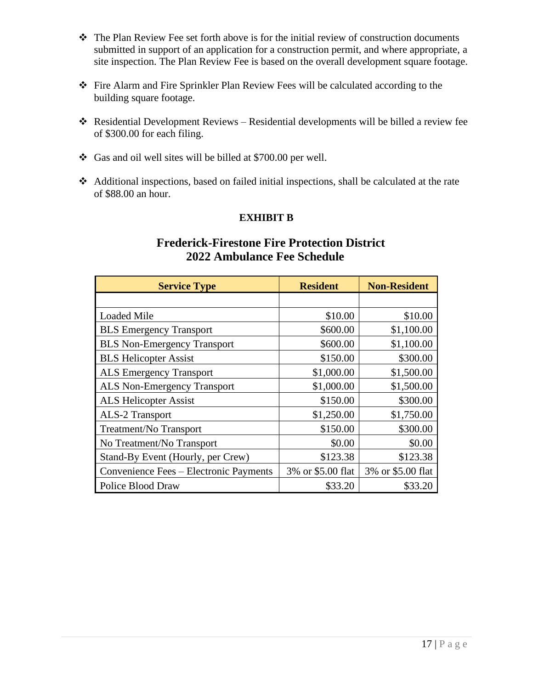- ❖ The Plan Review Fee set forth above is for the initial review of construction documents submitted in support of an application for a construction permit, and where appropriate, a site inspection. The Plan Review Fee is based on the overall development square footage.
- ❖ Fire Alarm and Fire Sprinkler Plan Review Fees will be calculated according to the building square footage.
- ❖ Residential Development Reviews Residential developments will be billed a review fee of \$300.00 for each filing.
- ❖ Gas and oil well sites will be billed at \$700.00 per well.
- ❖ Additional inspections, based on failed initial inspections, shall be calculated at the rate of \$88.00 an hour.

# **EXHIBIT B**

# **Frederick-Firestone Fire Protection District 2022 Ambulance Fee Schedule**

| <b>Service Type</b>                    | <b>Resident</b>   | <b>Non-Resident</b> |
|----------------------------------------|-------------------|---------------------|
|                                        |                   |                     |
| <b>Loaded Mile</b>                     | \$10.00           | \$10.00             |
| <b>BLS</b> Emergency Transport         | \$600.00          | \$1,100.00          |
| <b>BLS Non-Emergency Transport</b>     | \$600.00          | \$1,100.00          |
| <b>BLS Helicopter Assist</b>           | \$150.00          | \$300.00            |
| <b>ALS Emergency Transport</b>         | \$1,000.00        | \$1,500.00          |
| <b>ALS Non-Emergency Transport</b>     | \$1,000.00        | \$1,500.00          |
| <b>ALS Helicopter Assist</b>           | \$150.00          | \$300.00            |
| <b>ALS-2 Transport</b>                 | \$1,250.00        | \$1,750.00          |
| Treatment/No Transport                 | \$150.00          | \$300.00            |
| No Treatment/No Transport              | \$0.00            | \$0.00              |
| Stand-By Event (Hourly, per Crew)      | \$123.38          | \$123.38            |
| Convenience Fees – Electronic Payments | 3% or \$5.00 flat | 3% or \$5.00 flat   |
| Police Blood Draw                      | \$33.20           | \$33.20             |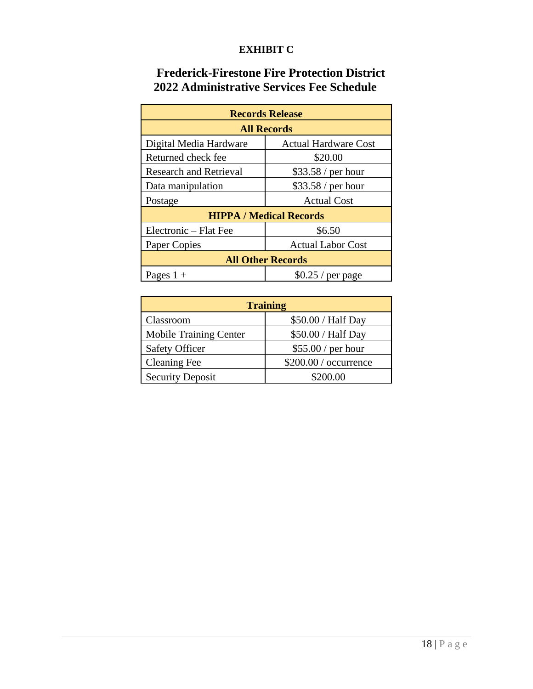# **EXHIBIT C**

# **Frederick-Firestone Fire Protection District 2022 Administrative Services Fee Schedule**

| <b>Records Release</b>           |                                |  |  |  |
|----------------------------------|--------------------------------|--|--|--|
| <b>All Records</b>               |                                |  |  |  |
| Digital Media Hardware           | <b>Actual Hardware Cost</b>    |  |  |  |
| Returned check fee               | \$20.00                        |  |  |  |
| <b>Research and Retrieval</b>    | \$33.58 / per hour             |  |  |  |
| Data manipulation                | \$33.58 / per hour             |  |  |  |
| Postage                          | <b>Actual Cost</b>             |  |  |  |
|                                  | <b>HIPPA / Medical Records</b> |  |  |  |
| Electronic - Flat Fee            | \$6.50                         |  |  |  |
| Paper Copies                     | <b>Actual Labor Cost</b>       |  |  |  |
| <b>All Other Records</b>         |                                |  |  |  |
| $$0.25/$ per page<br>Pages $1 +$ |                                |  |  |  |

| <b>Training</b>               |                        |  |  |  |  |
|-------------------------------|------------------------|--|--|--|--|
| Classroom                     | \$50.00 / Half Day     |  |  |  |  |
| <b>Mobile Training Center</b> | \$50.00 / Half Day     |  |  |  |  |
| <b>Safety Officer</b>         | \$55.00 / per hour     |  |  |  |  |
| <b>Cleaning Fee</b>           | $$200.00 /$ occurrence |  |  |  |  |
| <b>Security Deposit</b>       | \$200.00               |  |  |  |  |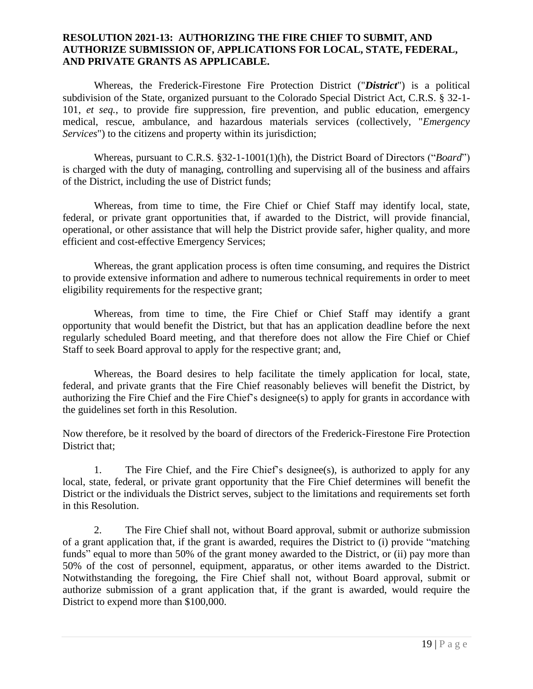#### **RESOLUTION 2021-13: AUTHORIZING THE FIRE CHIEF TO SUBMIT, AND AUTHORIZE SUBMISSION OF, APPLICATIONS FOR LOCAL, STATE, FEDERAL, AND PRIVATE GRANTS AS APPLICABLE.**

Whereas, the Frederick-Firestone Fire Protection District ("*District*") is a political subdivision of the State, organized pursuant to the Colorado Special District Act, C.R.S. § 32-1- 101, *et seq.*, to provide fire suppression, fire prevention, and public education, emergency medical, rescue, ambulance, and hazardous materials services (collectively, "*Emergency Services*") to the citizens and property within its jurisdiction;

Whereas, pursuant to C.R.S. §32-1-1001(1)(h), the District Board of Directors ("*Board*") is charged with the duty of managing, controlling and supervising all of the business and affairs of the District, including the use of District funds;

Whereas, from time to time, the Fire Chief or Chief Staff may identify local, state, federal, or private grant opportunities that, if awarded to the District, will provide financial, operational, or other assistance that will help the District provide safer, higher quality, and more efficient and cost-effective Emergency Services;

Whereas, the grant application process is often time consuming, and requires the District to provide extensive information and adhere to numerous technical requirements in order to meet eligibility requirements for the respective grant;

Whereas, from time to time, the Fire Chief or Chief Staff may identify a grant opportunity that would benefit the District, but that has an application deadline before the next regularly scheduled Board meeting, and that therefore does not allow the Fire Chief or Chief Staff to seek Board approval to apply for the respective grant; and,

Whereas, the Board desires to help facilitate the timely application for local, state, federal, and private grants that the Fire Chief reasonably believes will benefit the District, by authorizing the Fire Chief and the Fire Chief's designee(s) to apply for grants in accordance with the guidelines set forth in this Resolution.

Now therefore, be it resolved by the board of directors of the Frederick-Firestone Fire Protection District that;

1. The Fire Chief, and the Fire Chief's designee(s), is authorized to apply for any local, state, federal, or private grant opportunity that the Fire Chief determines will benefit the District or the individuals the District serves, subject to the limitations and requirements set forth in this Resolution.

2. The Fire Chief shall not, without Board approval, submit or authorize submission of a grant application that, if the grant is awarded, requires the District to (i) provide "matching funds" equal to more than 50% of the grant money awarded to the District, or (ii) pay more than 50% of the cost of personnel, equipment, apparatus, or other items awarded to the District. Notwithstanding the foregoing, the Fire Chief shall not, without Board approval, submit or authorize submission of a grant application that, if the grant is awarded, would require the District to expend more than \$100,000.